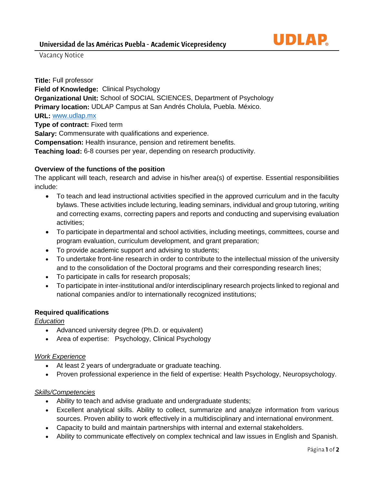

Vacancy Notice

**Title:** Full professor **Field of Knowledge:** Clinical Psychology **Organizational Unit:** School of SOCIAL SCIENCES, Department of Psychology **Primary location:** UDLAP Campus at San Andrés Cholula, Puebla. México. **URL:** [www.udlap.mx](http://www.udlap.mx/) **Type of contract:** Fixed term **Salary:** Commensurate with qualifications and experience. **Compensation:** Health insurance, pension and retirement benefits. **Teaching load:** 6-8 courses per year, depending on research productivity.

## **Overview of the functions of the position**

The applicant will teach, research and advise in his/her area(s) of expertise. Essential responsibilities include:

- To teach and lead instructional activities specified in the approved curriculum and in the faculty bylaws. These activities include lecturing, leading seminars, individual and group tutoring, writing and correcting exams, correcting papers and reports and conducting and supervising evaluation activities;
- To participate in departmental and school activities, including meetings, committees, course and program evaluation, curriculum development, and grant preparation;
- To provide academic support and advising to students;
- To undertake front-line research in order to contribute to the intellectual mission of the university and to the consolidation of the Doctoral programs and their corresponding research lines;
- To participate in calls for research proposals;
- To participate in inter-institutional and/or interdisciplinary research projects linked to regional and national companies and/or to internationally recognized institutions;

## **Required qualifications**

*Education*

- Advanced university degree (Ph.D. or equivalent)
- Area of expertise: Psychology, Clinical Psychology

## *Work Experience*

- At least 2 years of undergraduate or graduate teaching.
- Proven professional experience in the field of expertise: Health Psychology, Neuropsychology.

## *Skills/Competencies*

- Ability to teach and advise graduate and undergraduate students;
- Excellent analytical skills. Ability to collect, summarize and analyze information from various sources. Proven ability to work effectively in a multidisciplinary and international environment.
- Capacity to build and maintain partnerships with internal and external stakeholders.
- Ability to communicate effectively on complex technical and law issues in English and Spanish.